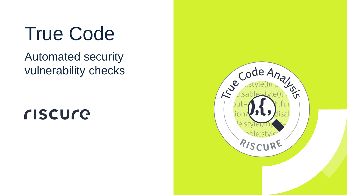# True Code

Automated security vulnerability checks

## **CISCUCE**

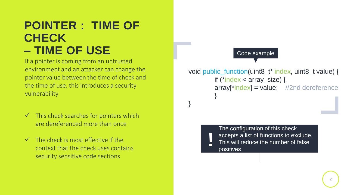#### **POINTER : TIME OF CHECK – TIME OF USE**

If a pointer is coming from an untrusted environment and an attacker can change the pointer value between the time of check and the time of use, this introduces a security vulnerability

- $\checkmark$  This check searches for pointers which are dereferenced more than once
- $\checkmark$  The check is most effective if the context that the check uses contains security sensitive code sections

```
void public_function(uint8_t* index, uint8_t value) {
         if (*index < array_size) {
         array[<sup>*</sup>index] = value; //2nd dereference
          } 
} 
                  Code example
```
The configuration of this check accepts a list of functions to exclude. This will reduce the number of false positives

**!**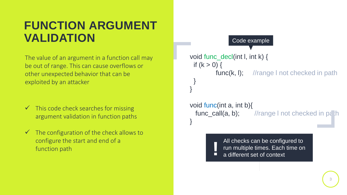#### **FUNCTION ARGUMENT VALIDATION**

The value of an argument in a function call may be out of range. This can cause overflows or other unexpected behavior that can be exploited by an attacker

- $\checkmark$  This code check searches for missing argument validation in function paths
- $\checkmark$  The configuration of the check allows to configure the start and end of a function path

```
void func_decl(int l, int k) {
 if (k > 0) {
          func(k, l); //range I not checked in path
 } 
} 
void func(int a, int b){
  func_call(a, b); //range l not checked in path
}
                 Code example
             All checks can be configured to 
             run multiple times. Each time on ! a different set of context
```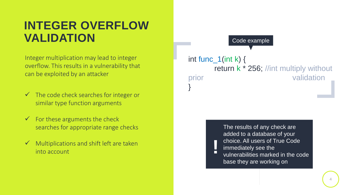#### **INTEGER OVERFLOW VALIDATION**

Integer multiplication may lead to integer overflow. This results in a vulnerability that can be exploited by an attacker

- $\checkmark$  The code check searches for integer or similar type function arguments
- $\checkmark$  For these arguments the check searches for appropriate range checks
- $\checkmark$  Multiplications and shift left are taken into account

#### Code example int func\_1(int k) { return k \* 256; //int multiply without prior validation }

The results of any check are added to a database of your choice. All users of True Code immediately see the vulnerabilities marked in the code base they are working on **!**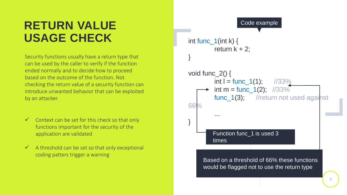#### **RETURN VALUE USAGE CHECK**

Security functions usually have a return type that can be used by the caller to verify if the function ended normally and to decide how to proceed based on the outcome of the function. Not checking the return value of a security function can introduce unwanted behavior that can be exploited by an attacker.

- $\checkmark$  Context can be set for this check so that only functions important for the security of the application are validated
- $\checkmark$  A threshold can be set so that only exceptional coding patters trigger a warning

```
5
                   Code example
     Based on a threshold of 66% these functions 
     would be flagged not to use the return type
int func_1(int k) \{return k + 2;
} 
void func_2() {
         int I = func_1(1); //33%
         int m = func_1(2); \frac{1}{33\%}func_1(3); //return not used against
66%
          ... 
}
         Function func_1 is used 3 
         times
```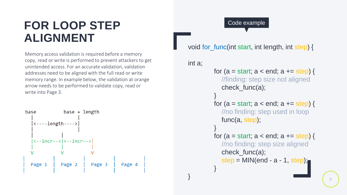#### **FOR LOOP STEP ALIGNMENT**

Memory access validation is required before a memory copy, read or write is performed to prevent attackers to get unintended access. For an accurate validation, validation addresses need to be aligned with the full read or write memory range. In example below, the validation at orange arrow needs to be performed to validate copy, read or write into Page 3.

| base   | base + length                                 |        |        |
|--------|-----------------------------------------------|--------|--------|
|        | <----length---->                              |        |        |
|        | $\vert$ <--incr--> $\vert$ <--incr--> $\vert$ |        |        |
| Page 1 | Page 2                                        | Page 3 | Page 4 |

Code example

#### void for func(int start, int length, int step) {

int a;

}

```
for (a = start; a < end; a += step) {
  //finding: step size not aligned 
  check func(a);
} 
for (a = start; a < end; a += step) {
  //no finding: step used in loop 
  func(a, step); 
} 
for (a = start; a < end; a += step) {
  //no finding: step size aligned 
  check_func(a); 
  step = MIN(end - a - 1, step);}
```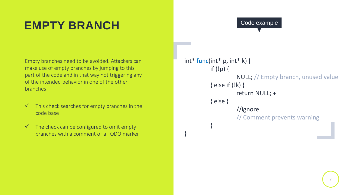### **EMPTY BRANCH**

Empty branches need to be avoided. Attackers can make use of empty branches by jumping to this part of the code and in that way not triggering any of the intended behavior in one of the other branches

- $\checkmark$  This check searches for empty branches in the code base
- $\checkmark$  The check can be configured to omit empty branches with a comment or a TODO marker

```
Code example
```

```
int* func(int* p, int* k)if (lp) {
                    NULL; // Empty branch, unused value
          } else if (!k) { 
                    return NULL; + 
          } else { 
                    //ignore 
                    // Comment prevents warning 
          }
```
}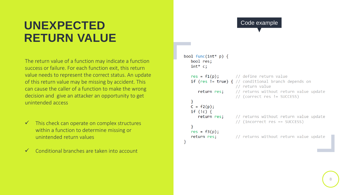### **UNEXPECTED RETURN VALUE**

The return value of a function may indicate a function success or failure. For each function exit, this return value needs to represent the correct status. An update of this return value may be missing by accident. This can cause the caller of a function to make the wrong decision and give an attacker an opportunity to get unintended access

- $\checkmark$  This check can operate on complex structures within a function to determine missing or unintended return values
- $\checkmark$  Conditional branches are taken into account

### Code example

```
bool func(int * p) {
   bool res;
   int^* cres = f1(p);// define return value
   if (res != true) \frac{1}{2} // conditional branch depends on
                      // return value
                      // returns without return value update
      return res;
                      // (correct res != SUCCESS)
  C = f2(p);
   if (!c) {
                      // returns without return value update
      return res;
                      // (incorrect res == SUCCESS)
   res = f3(p);return res;
                      // returns without return value update
```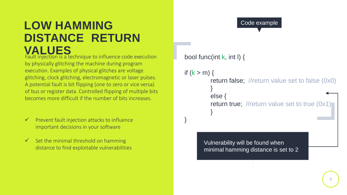#### **LOW HAMMING DISTANCE RETURN VALUES**

Fault injection is a technique to influence code execution by physically glitching the machine during program execution. Examples of physical glitches are voltage glitching, clock glitching, electromagnetic or laser pulses. A potential fault is bit flipping (one to zero or vice versa) of bus or register data. Controlled flipping of multiple bits becomes more difficult if the number of bits increases.

- $\checkmark$  Prevent fault injection attacks to influence important decisions in your software
- $\checkmark$  Set the minimal threshold on hamming distance to find exploitable vulnerabilities

### Code example

#### bool func(int k, int l) {

#### if  $(k > m)$  { return false; //return value set to false (0x0) } else { **return true;** //return value set to true (0x1) } }

Vulnerability will be found when minimal hamming distance is set to 2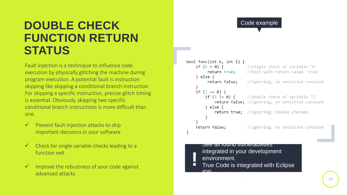#### **DOUBLE CHECK FUNCTION RETURN STATUS**

Fault injection is a technique to influence code execution by physically glitching the machine during program execution. A potential fault is instruction skipping like skipping a conditional branch instruction For skipping a specific instruction, precise glitch timing is essential. Obviously, skipping two specific conditional branch instructions is more difficult than one.

- $\checkmark$  Prevent fault injection attacks to skip important decisions in your software
- $\checkmark$  Check for single variable checks leading to a function exit
- $\checkmark$  Improve the robustness of your code against advanced attacks

### Code example

```
bool func(int k, int l) {
    if (k > 0) {
                         //single check of variable 'k'
                         //Exit with return value 'true'
        return true:
    \} else \{return false:
                         //ignoring; no sensitive constant
    if (1 == 0) {
                         //double check of variable 'l'
       if (1 |= 0) {
           return false; //ignoring; no sensitive constant
        \} else \{return true; //ignoring; double checked
    return false:
                          //ignoring; no sensitive constant
```
#### See all found vulnerabilities integrated in your development

- environment.
- True Code is integrated with Eclipse IDE **!**